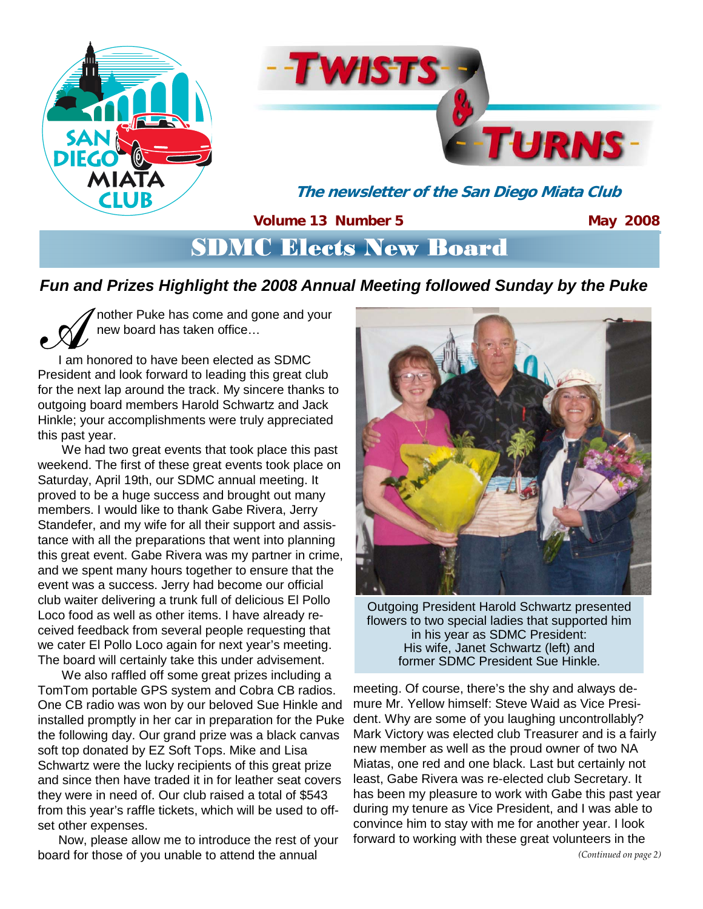

## SDMC Elects New Board

### *Fun and Prizes Highlight the 2008 Annual Meeting followed Sunday by the Puke*

nother Puke has come and gone and your new board has taken office…

 I am honored to have been elected as SDMC President and look forward to leading this great club for the next lap around the track. My sincere thanks to outgoing board members Harold Schwartz and Jack Hinkle; your accomplishments were truly appreciated this past year.

 We had two great events that took place this past weekend. The first of these great events took place on Saturday, April 19th, our SDMC annual meeting. It proved to be a huge success and brought out many members. I would like to thank Gabe Rivera, Jerry Standefer, and my wife for all their support and assistance with all the preparations that went into planning this great event. Gabe Rivera was my partner in crime, and we spent many hours together to ensure that the event was a success. Jerry had become our official club waiter delivering a trunk full of delicious El Pollo Loco food as well as other items. I have already received feedback from several people requesting that we cater El Pollo Loco again for next year's meeting. The board will certainly take this under advisement.

 We also raffled off some great prizes including a TomTom portable GPS system and Cobra CB radios. One CB radio was won by our beloved Sue Hinkle and installed promptly in her car in preparation for the Puke the following day. Our grand prize was a black canvas soft top donated by EZ Soft Tops. Mike and Lisa Schwartz were the lucky recipients of this great prize and since then have traded it in for leather seat covers they were in need of. Our club raised a total of \$543 from this year's raffle tickets, which will be used to offset other expenses.

 Now, please allow me to introduce the rest of your board for those of you unable to attend the annual



Outgoing President Harold Schwartz presented flowers to two special ladies that supported him in his year as SDMC President: His wife, Janet Schwartz (left) and former SDMC President Sue Hinkle.

meeting. Of course, there's the shy and always demure Mr. Yellow himself: Steve Waid as Vice President. Why are some of you laughing uncontrollably? Mark Victory was elected club Treasurer and is a fairly new member as well as the proud owner of two NA Miatas, one red and one black. Last but certainly not least, Gabe Rivera was re-elected club Secretary. It has been my pleasure to work with Gabe this past year during my tenure as Vice President, and I was able to convince him to stay with me for another year. I look forward to working with these great volunteers in the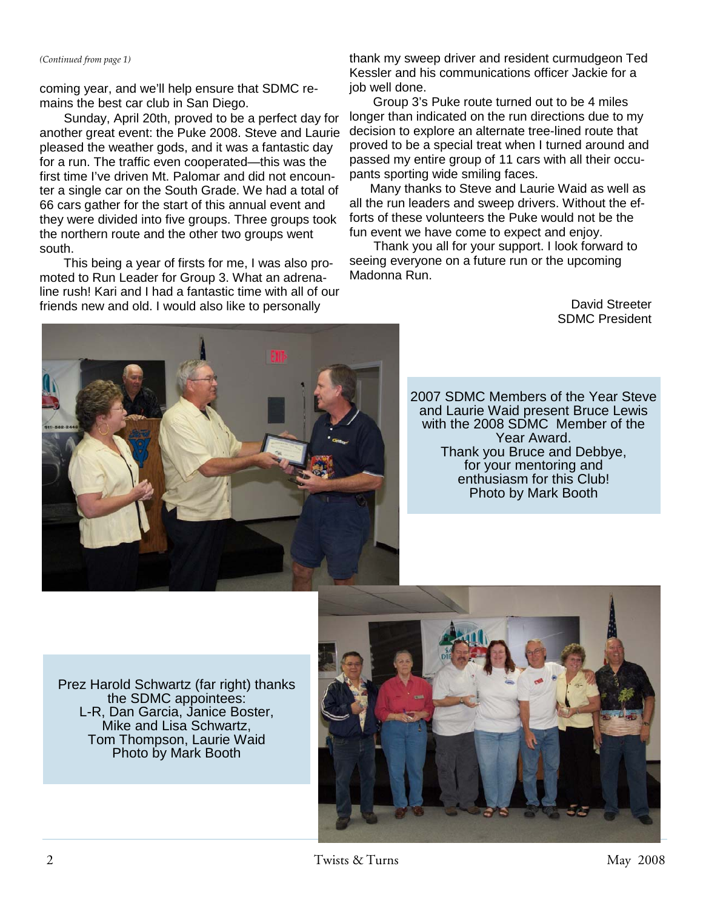coming year, and we'll help ensure that SDMC remains the best car club in San Diego.

 Sunday, April 20th, proved to be a perfect day for another great event: the Puke 2008. Steve and Laurie pleased the weather gods, and it was a fantastic day for a run. The traffic even cooperated—this was the first time I've driven Mt. Palomar and did not encounter a single car on the South Grade. We had a total of 66 cars gather for the start of this annual event and they were divided into five groups. Three groups took the northern route and the other two groups went south.

 This being a year of firsts for me, I was also promoted to Run Leader for Group 3. What an adrenaline rush! Kari and I had a fantastic time with all of our friends new and old. I would also like to personally

thank my sweep driver and resident curmudgeon Ted Kessler and his communications officer Jackie for a job well done.

 Group 3's Puke route turned out to be 4 miles longer than indicated on the run directions due to my decision to explore an alternate tree-lined route that proved to be a special treat when I turned around and passed my entire group of 11 cars with all their occupants sporting wide smiling faces.

 Many thanks to Steve and Laurie Waid as well as all the run leaders and sweep drivers. Without the efforts of these volunteers the Puke would not be the fun event we have come to expect and enjoy.

 Thank you all for your support. I look forward to seeing everyone on a future run or the upcoming Madonna Run.

> David Streeter SDMC President



2007 SDMC Members of the Year Steve and Laurie Waid present Bruce Lewis with the 2008 SDMC Member of the Year Award. Thank you Bruce and Debbye, for your mentoring and enthusiasm for this Club! Photo by Mark Booth

Prez Harold Schwartz (far right) thanks the SDMC appointees: L-R, Dan Garcia, Janice Boster, Mike and Lisa Schwartz, Tom Thompson, Laurie Waid Photo by Mark Booth



2 Twists & Turns May 2008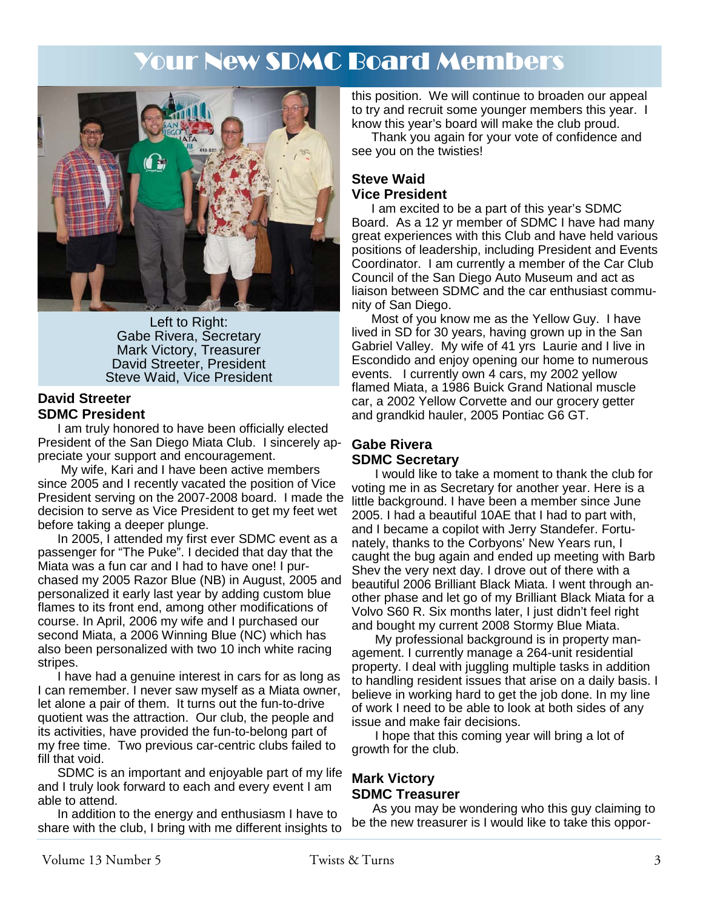## Dur New SDMC Board Members



Left to Right: Gabe Rivera, Secretary Mark Victory, Treasurer David Streeter, President Steve Waid, Vice President

#### **David Streeter SDMC President**

 I am truly honored to have been officially elected President of the San Diego Miata Club. I sincerely appreciate your support and encouragement.

 My wife, Kari and I have been active members since 2005 and I recently vacated the position of Vice President serving on the 2007-2008 board. I made the decision to serve as Vice President to get my feet wet before taking a deeper plunge.

 In 2005, I attended my first ever SDMC event as a passenger for "The Puke". I decided that day that the Miata was a fun car and I had to have one! I purchased my 2005 Razor Blue (NB) in August, 2005 and personalized it early last year by adding custom blue flames to its front end, among other modifications of course. In April, 2006 my wife and I purchased our second Miata, a 2006 Winning Blue (NC) which has also been personalized with two 10 inch white racing stripes.

 I have had a genuine interest in cars for as long as I can remember. I never saw myself as a Miata owner, let alone a pair of them. It turns out the fun-to-drive quotient was the attraction. Our club, the people and its activities, have provided the fun-to-belong part of my free time. Two previous car-centric clubs failed to fill that void.

 SDMC is an important and enjoyable part of my life and I truly look forward to each and every event I am able to attend.

 In addition to the energy and enthusiasm I have to share with the club, I bring with me different insights to

this position. We will continue to broaden our appeal to try and recruit some younger members this year. I know this year's board will make the club proud.

 Thank you again for your vote of confidence and see you on the twisties!

#### **Steve Waid Vice President**

I am excited to be a part of this year's SDMC Board. As a 12 yr member of SDMC I have had many great experiences with this Club and have held various positions of leadership, including President and Events Coordinator. I am currently a member of the Car Club Council of the San Diego Auto Museum and act as liaison between SDMC and the car enthusiast community of San Diego.

 Most of you know me as the Yellow Guy. I have lived in SD for 30 years, having grown up in the San Gabriel Valley. My wife of 41 yrs Laurie and I live in Escondido and enjoy opening our home to numerous events. I currently own 4 cars, my 2002 yellow flamed Miata, a 1986 Buick Grand National muscle car, a 2002 Yellow Corvette and our grocery getter and grandkid hauler, 2005 Pontiac G6 GT.

#### **Gabe Rivera SDMC Secretary**

 I would like to take a moment to thank the club for voting me in as Secretary for another year. Here is a little background. I have been a member since June 2005. I had a beautiful 10AE that I had to part with, and I became a copilot with Jerry Standefer. Fortunately, thanks to the Corbyons' New Years run, I caught the bug again and ended up meeting with Barb Shev the very next day. I drove out of there with a beautiful 2006 Brilliant Black Miata. I went through another phase and let go of my Brilliant Black Miata for a Volvo S60 R. Six months later, I just didn't feel right and bought my current 2008 Stormy Blue Miata.

 My professional background is in property management. I currently manage a 264-unit residential property. I deal with juggling multiple tasks in addition to handling resident issues that arise on a daily basis. I believe in working hard to get the job done. In my line of work I need to be able to look at both sides of any issue and make fair decisions.

 I hope that this coming year will bring a lot of growth for the club.

#### **Mark Victory SDMC Treasurer**

 As you may be wondering who this guy claiming to be the new treasurer is I would like to take this oppor-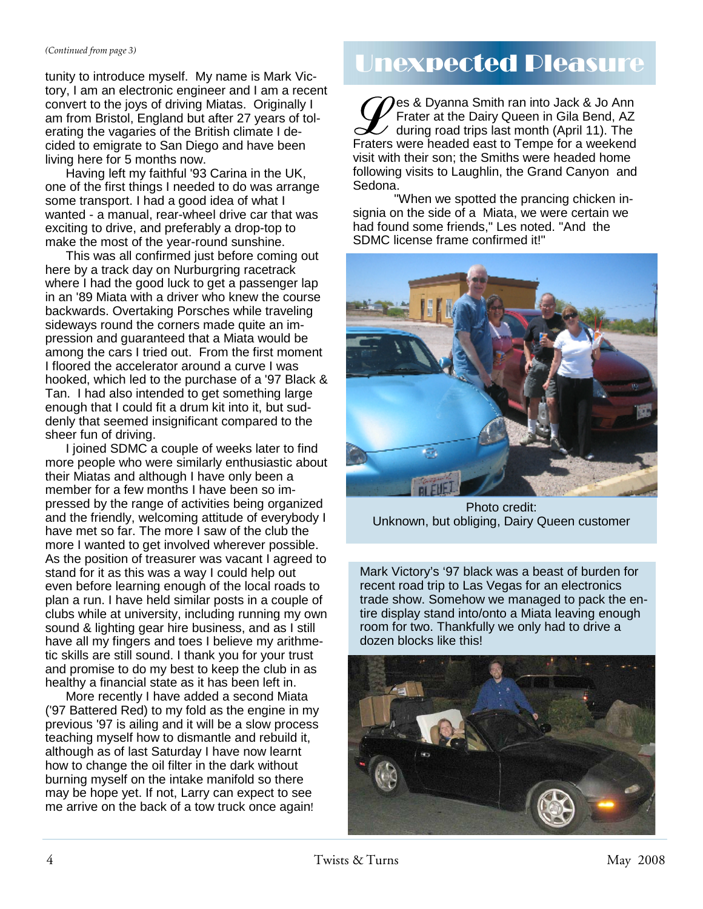#### *(Continued from page 3)*

tunity to introduce myself. My name is Mark Victory, I am an electronic engineer and I am a recent convert to the joys of driving Miatas. Originally I am from Bristol, England but after 27 years of tolerating the vagaries of the British climate I decided to emigrate to San Diego and have been living here for 5 months now.

 Having left my faithful '93 Carina in the UK, one of the first things I needed to do was arrange some transport. I had a good idea of what I wanted - a manual, rear-wheel drive car that was exciting to drive, and preferably a drop-top to make the most of the year-round sunshine.

 This was all confirmed just before coming out here by a track day on Nurburgring racetrack where I had the good luck to get a passenger lap in an '89 Miata with a driver who knew the course backwards. Overtaking Porsches while traveling sideways round the corners made quite an impression and guaranteed that a Miata would be among the cars I tried out. From the first moment I floored the accelerator around a curve I was hooked, which led to the purchase of a '97 Black & Tan. I had also intended to get something large enough that I could fit a drum kit into it, but suddenly that seemed insignificant compared to the sheer fun of driving.

 I joined SDMC a couple of weeks later to find more people who were similarly enthusiastic about their Miatas and although I have only been a member for a few months I have been so impressed by the range of activities being organized and the friendly, welcoming attitude of everybody I have met so far. The more I saw of the club the more I wanted to get involved wherever possible. As the position of treasurer was vacant I agreed to stand for it as this was a way I could help out even before learning enough of the local roads to plan a run. I have held similar posts in a couple of clubs while at university, including running my own sound & lighting gear hire business, and as I still have all my fingers and toes I believe my arithmetic skills are still sound. I thank you for your trust and promise to do my best to keep the club in as healthy a financial state as it has been left in.

 More recently I have added a second Miata ('97 Battered Red) to my fold as the engine in my previous '97 is ailing and it will be a slow process teaching myself how to dismantle and rebuild it, although as of last Saturday I have now learnt how to change the oil filter in the dark without burning myself on the intake manifold so there may be hope yet. If not, Larry can expect to see me arrive on the back of a tow truck once again!

## Unexpected Pleasure

CO es & Dyanna Smith ran into Jack & Jo Ann<br>Frater at the Dairy Queen in Gila Bend, AZ<br>Fraters were headed east to Tempe for a weekend Frater at the Dairy Queen in Gila Bend, AZ during road trips last month (April 11). The visit with their son; the Smiths were headed home following visits to Laughlin, the Grand Canyon and Sedona.

 "When we spotted the prancing chicken insignia on the side of a Miata, we were certain we had found some friends," Les noted. "And the SDMC license frame confirmed it!"



Photo credit: Unknown, but obliging, Dairy Queen customer

Mark Victory's '97 black was a beast of burden for recent road trip to Las Vegas for an electronics trade show. Somehow we managed to pack the entire display stand into/onto a Miata leaving enough room for two. Thankfully we only had to drive a dozen blocks like this!

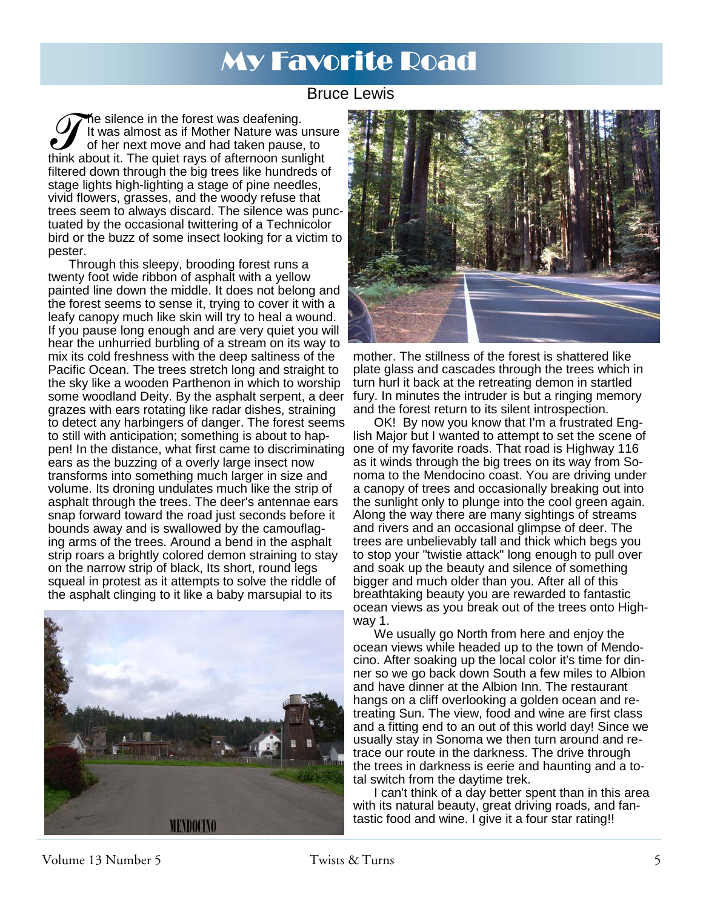## My Favorite Road

### Bruce Lewis

The silence in the forest was deafening.<br>
It was almost as if Mother Nature was unsu<br>
of her next move and had taken pause, to<br>
think about it. The quiet rays of afternoon sunlight It was almost as if Mother Nature was unsure of her next move and had taken pause, to filtered down through the big trees like hundreds of stage lights high-lighting a stage of pine needles, vivid flowers, grasses, and the woody refuse that trees seem to always discard. The silence was punctuated by the occasional twittering of a Technicolor bird or the buzz of some insect looking for a victim to pester.

 Through this sleepy, brooding forest runs a twenty foot wide ribbon of asphalt with a yellow painted line down the middle. It does not belong and the forest seems to sense it, trying to cover it with a leafy canopy much like skin will try to heal a wound. If you pause long enough and are very quiet you will hear the unhurried burbling of a stream on its way to mix its cold freshness with the deep saltiness of the Pacific Ocean. The trees stretch long and straight to the sky like a wooden Parthenon in which to worship some woodland Deity. By the asphalt serpent, a deer grazes with ears rotating like radar dishes, straining to detect any harbingers of danger. The forest seems to still with anticipation; something is about to happen! In the distance, what first came to discriminating ears as the buzzing of a overly large insect now transforms into something much larger in size and volume. Its droning undulates much like the strip of asphalt through the trees. The deer's antennae ears snap forward toward the road just seconds before it bounds away and is swallowed by the camouflaging arms of the trees. Around a bend in the asphalt strip roars a brightly colored demon straining to stay on the narrow strip of black, Its short, round legs squeal in protest as it attempts to solve the riddle of the asphalt clinging to it like a baby marsupial to its





mother. The stillness of the forest is shattered like plate glass and cascades through the trees which in turn hurl it back at the retreating demon in startled fury. In minutes the intruder is but a ringing memory and the forest return to its silent introspection.

 OK! By now you know that I'm a frustrated English Major but I wanted to attempt to set the scene of one of my favorite roads. That road is Highway 116 as it winds through the big trees on its way from Sonoma to the Mendocino coast. You are driving under a canopy of trees and occasionally breaking out into the sunlight only to plunge into the cool green again. Along the way there are many sightings of streams and rivers and an occasional glimpse of deer. The trees are unbelievably tall and thick which begs you to stop your "twistie attack" long enough to pull over and soak up the beauty and silence of something bigger and much older than you. After all of this breathtaking beauty you are rewarded to fantastic ocean views as you break out of the trees onto Highway 1.

 We usually go North from here and enjoy the ocean views while headed up to the town of Mendocino. After soaking up the local color it's time for dinner so we go back down South a few miles to Albion and have dinner at the Albion Inn. The restaurant hangs on a cliff overlooking a golden ocean and retreating Sun. The view, food and wine are first class and a fitting end to an out of this world day! Since we usually stay in Sonoma we then turn around and retrace our route in the darkness. The drive through the trees in darkness is eerie and haunting and a total switch from the daytime trek.

 I can't think of a day better spent than in this area with its natural beauty, great driving roads, and fantastic food and wine. I give it a four star rating!!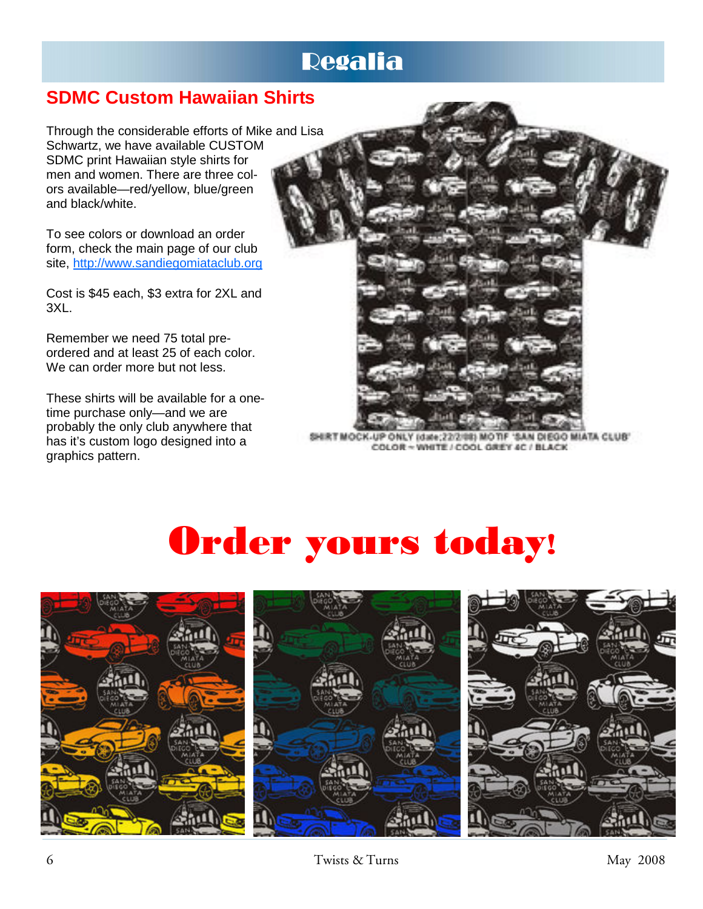## Regalia

## **SDMC Custom Hawaiian Shirts**

Through the considerable efforts of Mike and Lisa Schwartz, we have available CUSTOM SDMC print Hawaiian style shirts for men and women. There are three colors available—red/yellow, blue/green and black/white.

To see colors or download an order form, check the main page of our club site, http://www.sandiegomiataclub.org

Cost is \$45 each, \$3 extra for 2XL and 3XL.

Remember we need 75 total preordered and at least 25 of each color. We can order more but not less.

These shirts will be available for a onetime purchase only—and we are probably the only club anywhere that has it's custom logo designed into a graphics pattern.



SHIRT MOCK-UP ONLY (date: 22/2/08) MOTIF "SAN DIEGO MIATA CLUB" COLOR ~ WHITE / COOL GREY 4C / BLACK

# Order yours today!

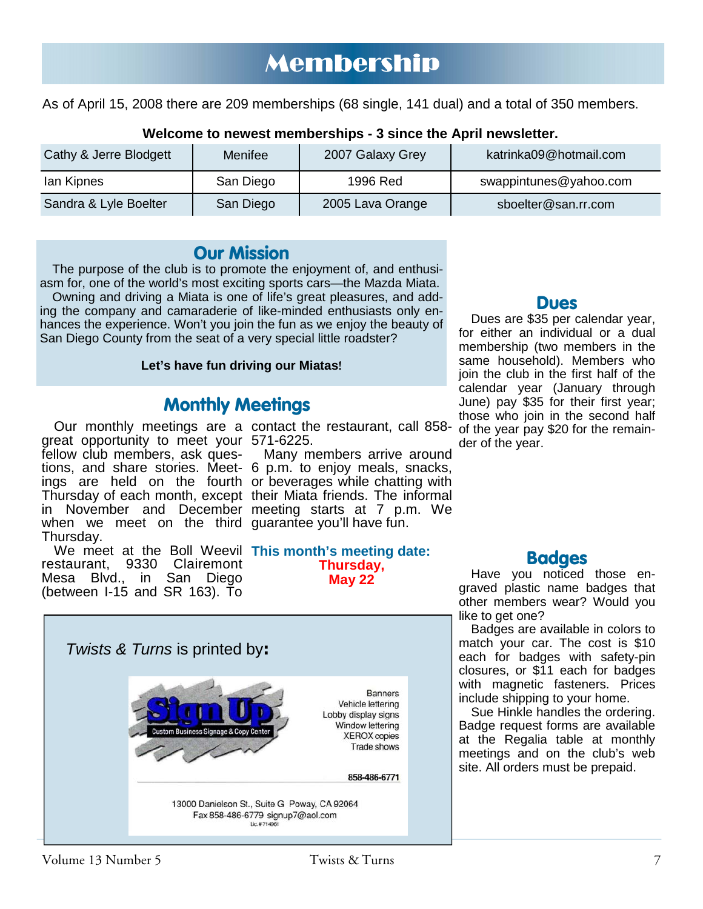## Membership

As of April 15, 2008 there are 209 memberships (68 single, 141 dual) and a total of 350 members.

#### **Welcome to newest memberships - 3 since the April newsletter.**

| Cathy & Jerre Blodgett | Menifee   | 2007 Galaxy Grey | katrinka09@hotmail.com |
|------------------------|-----------|------------------|------------------------|
| lan Kipnes             | San Diego | 1996 Red         | swappintunes@yahoo.com |
| Sandra & Lyle Boelter  | San Diego | 2005 Lava Orange | sboelter@san.rr.com    |

### **Our Mission**

The purpose of the club is to promote the enjoyment of, and enthusiasm for, one of the world's most exciting sports cars—the Mazda Miata.

Owning and driving a Miata is one of life's great pleasures, and adding the company and camaraderie of like-minded enthusiasts only enhances the experience. Won't you join the fun as we enjoy the beauty of San Diego County from the seat of a very special little roadster?

#### **Let's have fun driving our Miatas!**

### **Monthly Meetings**

great opportunity to meet your 571-6225. fellow club members, ask questions, and share stories. Meet-6 p.m. to enjoy meals, snacks, ings are held on the fourth or beverages while chatting with Thursday of each month, except their Miata friends. The informal in November and December meeting starts at 7 p.m. We when we meet on the third guarantee you'll have fun. Thursday.

We meet at the Boll Weevil **This month's meeting date:**  restaurant, 9330 Clairemont Mesa Blvd., in San Diego (between I-15 and SR 163). To

Our monthly meetings are a contact the restaurant, call 858-

Many members arrive around

**Thursday,** 

## **May 22**  *Twists & Turns* is printed by**: Banners** Vehicle lettering Lobby display signs Window lettering **XEROX** copies Trade shows 858-486-6771 13000 Danielson St., Suite G Poway, CA 92064

Fax 858-486-6779 signup7@aol.com Lic.#71496

#### **Dues**

Dues are \$35 per calendar year, for either an individual or a dual membership (two members in the same household). Members who join the club in the first half of the calendar year (January through June) pay \$35 for their first year; those who join in the second half of the year pay \$20 for the remainder of the year.

### **Badges**

Have you noticed those engraved plastic name badges that other members wear? Would you like to get one?

Badges are available in colors to match your car. The cost is \$10 each for badges with safety-pin closures, or \$11 each for badges with magnetic fasteners. Prices include shipping to your home.

Sue Hinkle handles the ordering. Badge request forms are available at the Regalia table at monthly meetings and on the club's web site. All orders must be prepaid.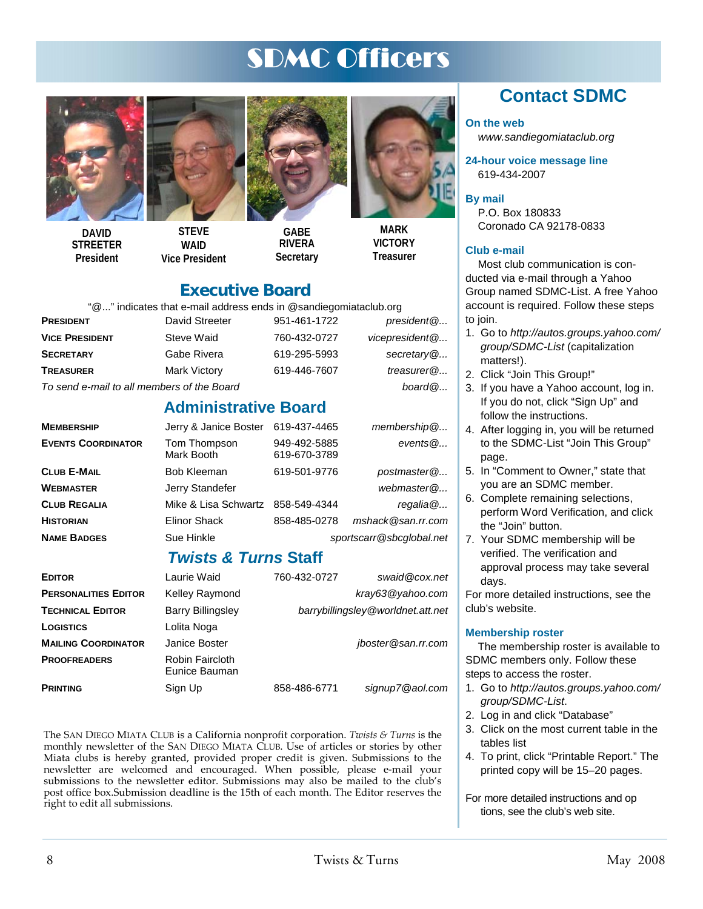## SDMC Officers



**DAVID STREETER President** 





**GABE RIVERA Secretary** 



**MARK VICTORY Treasurer** 

### **Executive Board**

"@..." indicates that e-mail address ends in @sandiegomiataclub.org

| PRESIDENT             | David Streeter                             | 951-461-1722 | president @    |
|-----------------------|--------------------------------------------|--------------|----------------|
| <b>VICE PRESIDENT</b> | Steve Waid                                 | 760-432-0727 | vicepresident@ |
| SECRETARY             | Gabe Rivera                                | 619-295-5993 | secretary $@$  |
| Treasurer             | <b>Mark Victory</b>                        | 619-446-7607 | treasurer@     |
|                       | To send e-mail to all members of the Board |              | board@         |

### **Administrative Board**

| <b>MEMBERSHIP</b>         | Jerry & Janice Boster      | 619-437-4465                 | $m$ embership $@$        |
|---------------------------|----------------------------|------------------------------|--------------------------|
| <b>EVENTS COORDINATOR</b> | Tom Thompson<br>Mark Booth | 949-492-5885<br>619-670-3789 | events @                 |
| CLUB E-MAIL               | <b>Bob Kleeman</b>         | 619-501-9776                 | postmaster@              |
| WEBMASTER                 | Jerry Standefer            |                              | webmaster@               |
| <b>CLUB REGALIA</b>       | Mike & Lisa Schwartz       | 858-549-4344                 | regalia @                |
| <b>HISTORIAN</b>          | <b>Elinor Shack</b>        | 858-485-0278                 | mshack@san.rr.com        |
| <b>NAME BADGES</b>        | Sue Hinkle                 |                              | sportscarr@sbcglobal.net |

### *Twists & Turns* **Staff**

| <b>EDITOR</b>               | Laurie Waid                      | 760-432-0727 | swaid@cox.net                     |
|-----------------------------|----------------------------------|--------------|-----------------------------------|
| <b>PERSONALITIES EDITOR</b> | Kelley Raymond                   |              | kray63@yahoo.com                  |
| <b>TECHNICAL EDITOR</b>     | <b>Barry Billingsley</b>         |              | barrybillingsley@worldnet.att.net |
| LOGISTICS                   | Lolita Noga                      |              |                                   |
| <b>MAILING COORDINATOR</b>  | Janice Boster                    |              | jboster@san.rr.com                |
| <b>PROOFREADERS</b>         | Robin Faircloth<br>Eunice Bauman |              |                                   |
| <b>PRINTING</b>             | Sign Up                          | 858-486-6771 | signup7@aol.com                   |

The SAN DIEGO MIATA CLUB is a California nonprofit corporation. *Twists & Turns* is the monthly newsletter of the SAN DIEGO MIATA CLUB. Use of articles or stories by other Miata clubs is hereby granted, provided proper credit is given. Submissions to the newsletter are welcomed and encouraged. When possible, please e-mail your submissions to the newsletter editor. Submissions may also be mailed to the club's post office box.Submission deadline is the 15th of each month. The Editor reserves the right to edit all submissions.

## **Contact SDMC**

#### **On the web**

*www.sandiegomiataclub.org* 

**24-hour voice message line**  619-434-2007

#### **By mail**

P.O. Box 180833 Coronado CA 92178-0833

#### **Club e-mail**

Most club communication is conducted via e-mail through a Yahoo Group named SDMC-List. A free Yahoo account is required. Follow these steps to join.

- 1. Go to *http://autos.groups.yahoo.com/ group/SDMC-List* (capitalization matters!).
- 2. Click "Join This Group!"
- 3. If you have a Yahoo account, log in. If you do not, click "Sign Up" and follow the instructions.
- 4. After logging in, you will be returned to the SDMC-List "Join This Group" page.
- 5. In "Comment to Owner," state that you are an SDMC member.
- 6. Complete remaining selections, perform Word Verification, and click the "Join" button.
- 7. Your SDMC membership will be verified. The verification and approval process may take several days.

For more detailed instructions, see the club's website.

#### **Membership roster**

The membership roster is available to SDMC members only. Follow these steps to access the roster.

- 1. Go to *http://autos.groups.yahoo.com/ group/SDMC-List*.
- 2. Log in and click "Database"
- 3. Click on the most current table in the tables list
- 4. To print, click "Printable Report." The printed copy will be 15–20 pages.

For more detailed instructions and op tions, see the club's web site.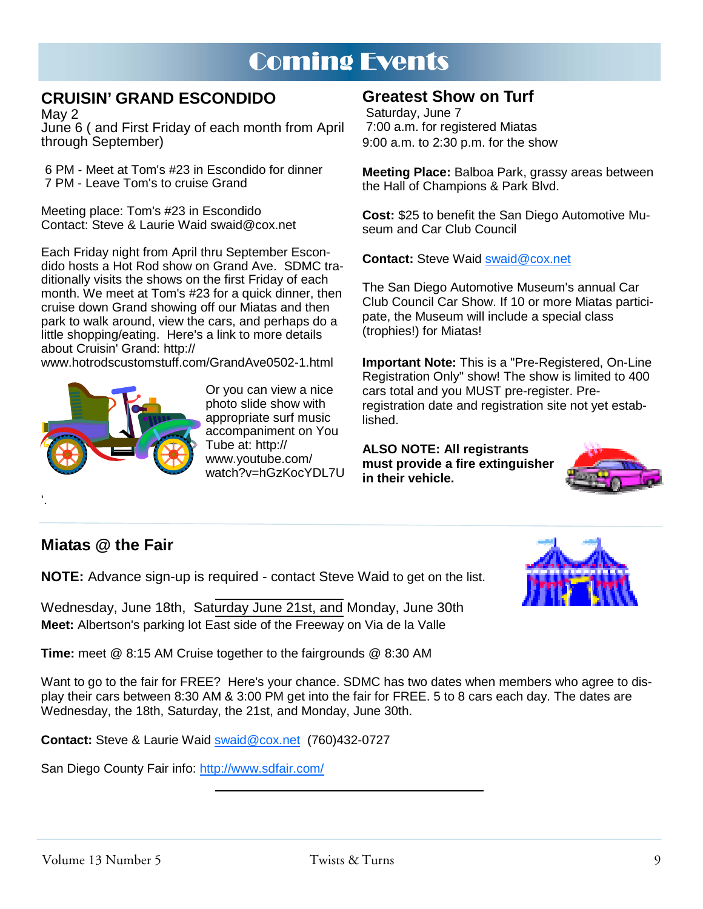## Coming Events

### **CRUISIN' GRAND ESCONDIDO**

May 2

June 6 ( and First Friday of each month from April through September)

6 PM - Meet at Tom's #23 in Escondido for dinner 7 PM - Leave Tom's to cruise Grand

Meeting place: Tom's #23 in Escondido Contact: Steve & Laurie Waid swaid@cox.net

Each Friday night from April thru September Escondido hosts a Hot Rod show on Grand Ave. SDMC traditionally visits the shows on the first Friday of each month. We meet at Tom's #23 for a quick dinner, then cruise down Grand showing off our Miatas and then park to walk around, view the cars, and perhaps do a little shopping/eating. Here's a link to more details about Cruisin' Grand: http://

www.hotrodscustomstuff.com/GrandAve0502-1.html



Or you can view a nice photo slide show with appropriate surf music accompaniment on You Tube at: http:// www.youtube.com/ watch?v=hGzKocYDL7U

### **Greatest Show on Turf**

 Saturday, June 7 7:00 a.m. for registered Miatas 9:00 a.m. to 2:30 p.m. for the show

**Meeting Place:** Balboa Park, grassy areas between the Hall of Champions & Park Blvd.

**Cost:** \$25 to benefit the San Diego Automotive Museum and Car Club Council

**Contact:** Steve Waid swaid@cox.net

The San Diego Automotive Museum's annual Car Club Council Car Show. If 10 or more Miatas participate, the Museum will include a special class (trophies!) for Miatas!

**Important Note:** This is a "Pre-Registered, On-Line Registration Only" show! The show is limited to 400 cars total and you MUST pre-register. Preregistration date and registration site not yet established.

**ALSO NOTE: All registrants must provide a fire extinguisher in their vehicle.**



### **Miatas @ the Fair**

'.

**NOTE:** Advance sign-up is required - contact Steve Waid to get on the list.

Wednesday, June 18th, Saturday June 21st, and Monday, June 30th **Meet:** Albertson's parking lot East side of the Freeway on Via de la Valle

**Time:** meet @ 8:15 AM Cruise together to the fairgrounds @ 8:30 AM

Want to go to the fair for FREE? Here's your chance. SDMC has two dates when members who agree to display their cars between 8:30 AM & 3:00 PM get into the fair for FREE. 5 to 8 cars each day. The dates are Wednesday, the 18th, Saturday, the 21st, and Monday, June 30th.

**Contact:** Steve & Laurie Waid swaid@cox.net (760)432-0727

San Diego County Fair info: http://www.sdfair.com/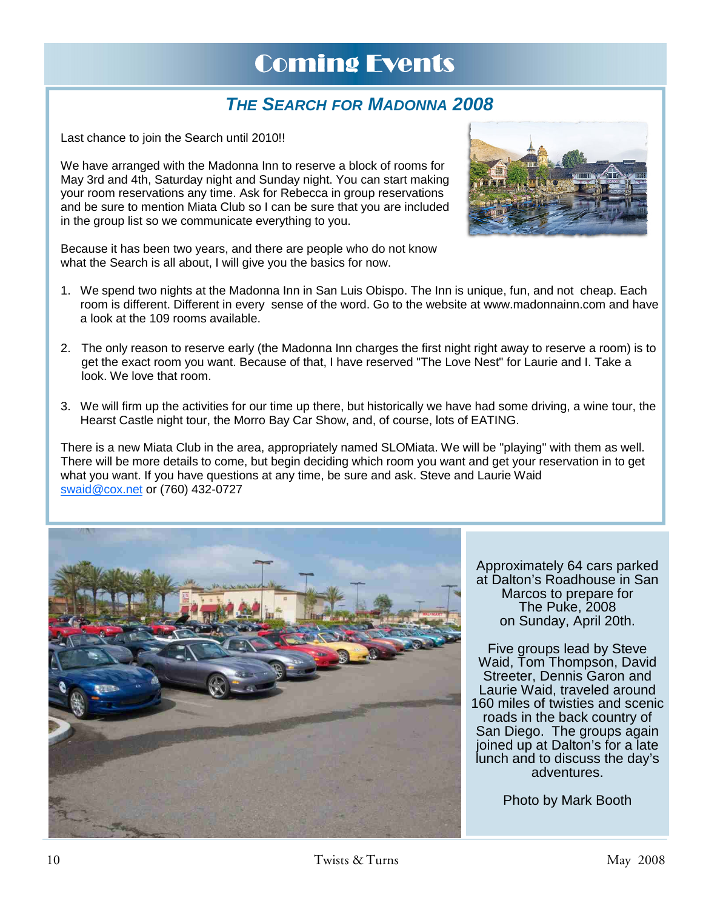## Coming Events

## *THE SEARCH FOR MADONNA 2008*

Last chance to join the Search until 2010!!

We have arranged with the Madonna Inn to reserve a block of rooms for May 3rd and 4th, Saturday night and Sunday night. You can start making your room reservations any time. Ask for Rebecca in group reservations and be sure to mention Miata Club so I can be sure that you are included in the group list so we communicate everything to you.



- 
- 1. We spend two nights at the Madonna Inn in San Luis Obispo. The Inn is unique, fun, and not cheap. Each room is different. Different in every sense of the word. Go to the website at www.madonnainn.com and have a look at the 109 rooms available.
- 2. The only reason to reserve early (the Madonna Inn charges the first night right away to reserve a room) is to get the exact room you want. Because of that, I have reserved "The Love Nest" for Laurie and I. Take a look. We love that room.
- 3. We will firm up the activities for our time up there, but historically we have had some driving, a wine tour, the Hearst Castle night tour, the Morro Bay Car Show, and, of course, lots of EATING.

There is a new Miata Club in the area, appropriately named SLOMiata. We will be "playing" with them as well. There will be more details to come, but begin deciding which room you want and get your reservation in to get what you want. If you have questions at any time, be sure and ask. Steve and Laurie Waid swaid@cox.net or (760) 432-0727



Approximately 64 cars parked at Dalton's Roadhouse in San Marcos to prepare for The Puke, 2008

on Sunday, April 20th.<br>Five groups lead by Steve Waid, Tom Thompson, David Streeter, Dennis Garon and Laurie Waid, traveled around 160 miles of twisties and scenic roads in the back country of San Diego. The groups again joined up at Dalton's for a late lunch and to discuss the day's adventures.

Photo by Mark Booth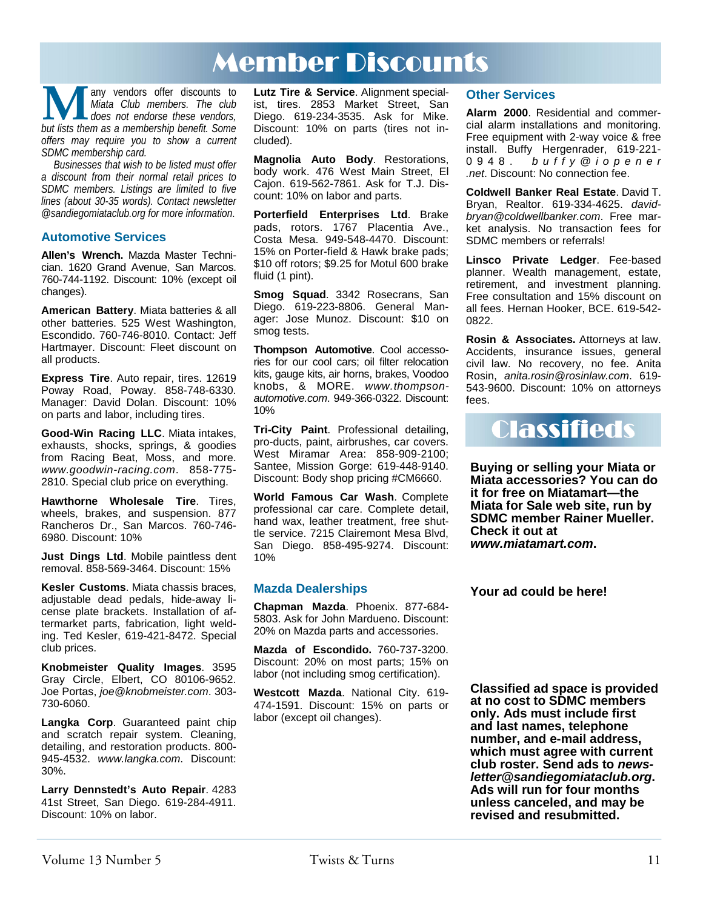## Member Discounts

**M** any vendors offer discounts to *Miata Club members. The club* does not endorse these vendors, but lists them as a membership benefit. Some *Miata Club members. The club does not endorse these vendors, offers may require you to show a current SDMC membership card.* 

*Businesses that wish to be listed must offer a discount from their normal retail prices to SDMC members. Listings are limited to five lines (about 30-35 words). Contact newsletter @sandiegomiataclub.org for more information*.

#### **Automotive Services**

**Allen's Wrench.** Mazda Master Technician. 1620 Grand Avenue, San Marcos. 760-744-1192. Discount: 10% (except oil changes).

**American Battery**. Miata batteries & all other batteries. 525 West Washington, Escondido. 760-746-8010. Contact: Jeff Hartmayer. Discount: Fleet discount on all products.

**Express Tire**. Auto repair, tires. 12619 Poway Road, Poway. 858-748-6330. Manager: David Dolan. Discount: 10% on parts and labor, including tires.

**Good-Win Racing LLC**. Miata intakes, exhausts, shocks, springs, & goodies from Racing Beat, Moss, and more. *www.goodwin-racing.com*. 858-775- 2810. Special club price on everything.

**Hawthorne Wholesale Tire**. Tires, wheels, brakes, and suspension. 877 Rancheros Dr., San Marcos. 760-746- 6980. Discount: 10%

**Just Dings Ltd**. Mobile paintless dent removal. 858-569-3464. Discount: 15%

**Kesler Customs**. Miata chassis braces, adjustable dead pedals, hide-away license plate brackets. Installation of aftermarket parts, fabrication, light welding. Ted Kesler, 619-421-8472. Special club prices.

**Knobmeister Quality Images**. 3595 Gray Circle, Elbert, CO 80106-9652. Joe Portas, *joe@knobmeister.com*. 303- 730-6060.

**Langka Corp**. Guaranteed paint chip and scratch repair system. Cleaning, detailing, and restoration products. 800- 945-4532. *www.langka.com*. Discount: 30%.

**Larry Dennstedt's Auto Repair**. 4283 41st Street, San Diego. 619-284-4911. Discount: 10% on labor.

**Lutz Tire & Service**. Alignment specialist, tires. 2853 Market Street, San Diego. 619-234-3535. Ask for Mike. Discount: 10% on parts (tires not included).

**Magnolia Auto Body**. Restorations, body work. 476 West Main Street, El Cajon. 619-562-7861. Ask for T.J. Discount: 10% on labor and parts.

**Porterfield Enterprises Ltd**. Brake pads, rotors. 1767 Placentia Ave., Costa Mesa. 949-548-4470. Discount: 15% on Porter-field & Hawk brake pads; \$10 off rotors; \$9.25 for Motul 600 brake fluid (1 pint).

**Smog Squad**. 3342 Rosecrans, San Diego. 619-223-8806. General Manager: Jose Munoz. Discount: \$10 on smog tests.

**Thompson Automotive**. Cool accessories for our cool cars; oil filter relocation kits, gauge kits, air horns, brakes, Voodoo knobs, & MORE. *www.thompsonautomotive.com*. 949-366-0322. Discount: 10%

**Tri-City Paint**. Professional detailing, pro-ducts, paint, airbrushes, car covers. West Miramar Area: 858-909-2100; Santee, Mission Gorge: 619-448-9140. Discount: Body shop pricing #CM6660.

**World Famous Car Wash**. Complete professional car care. Complete detail, hand wax, leather treatment, free shuttle service. 7215 Clairemont Mesa Blvd, San Diego. 858-495-9274. Discount: 10%

#### **Mazda Dealerships**

**Chapman Mazda**. Phoenix. 877-684- 5803. Ask for John Mardueno. Discount: 20% on Mazda parts and accessories.

**Mazda of Escondido.** 760-737-3200. Discount: 20% on most parts; 15% on labor (not including smog certification).

**Westcott Mazda**. National City. 619- 474-1591. Discount: 15% on parts or labor (except oil changes).

#### **Other Services**

**Alarm 2000**. Residential and commercial alarm installations and monitoring. Free equipment with 2-way voice & free install. Buffy Hergenrader, 619-221- 0948. *b u f f y @ i o p e n e r .net*. Discount: No connection fee.

**Coldwell Banker Real Estate**. David T. Bryan, Realtor. 619-334-4625. *davidbryan@coldwellbanker.com*. Free market analysis. No transaction fees for SDMC members or referrals!

**Linsco Private Ledger**. Fee-based planner. Wealth management, estate, retirement, and investment planning. Free consultation and 15% discount on all fees. Hernan Hooker, BCE. 619-542- 0822.

**Rosin & Associates.** Attorneys at law. Accidents, insurance issues, general civil law. No recovery, no fee. Anita Rosin, *anita.rosin@rosinlaw.com*. 619- 543-9600. Discount: 10% on attorneys fees.



**Buying or selling your Miata or Miata accessories? You can do it for free on Miatamart—the Miata for Sale web site, run by SDMC member Rainer Mueller. Check it out at**  *www.miatamart.com***.** 

**Your ad could be here!** 

**Classified ad space is provided at no cost to SDMC members only. Ads must include first and last names, telephone number, and e-mail address, which must agree with current club roster. Send ads to** *newsletter@sandiegomiataclub.org***. Ads will run for four months unless canceled, and may be revised and resubmitted.**